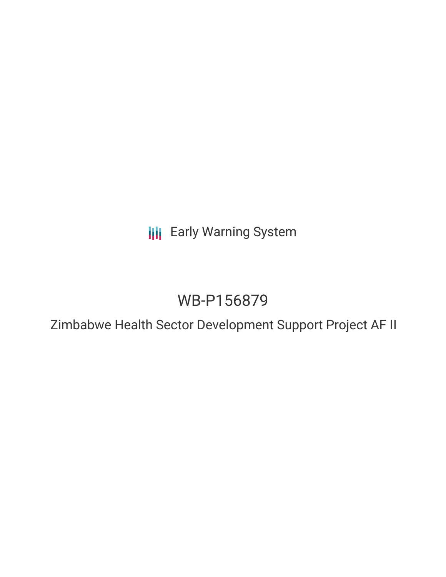**III** Early Warning System

# WB-P156879

Zimbabwe Health Sector Development Support Project AF II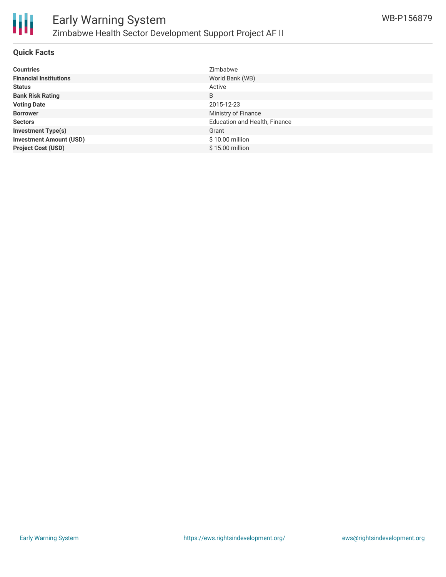

#### **Quick Facts**

| <b>Countries</b>               | Zimbabwe                             |
|--------------------------------|--------------------------------------|
| <b>Financial Institutions</b>  | World Bank (WB)                      |
| <b>Status</b>                  | Active                               |
| <b>Bank Risk Rating</b>        | B                                    |
| <b>Voting Date</b>             | 2015-12-23                           |
| <b>Borrower</b>                | Ministry of Finance                  |
| <b>Sectors</b>                 | <b>Education and Health, Finance</b> |
| <b>Investment Type(s)</b>      | Grant                                |
| <b>Investment Amount (USD)</b> | $$10.00$ million                     |
| <b>Project Cost (USD)</b>      | \$15.00 million                      |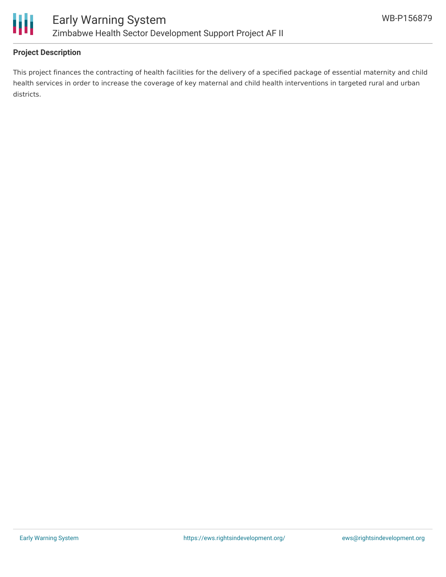

# **Project Description**

This project finances the contracting of health facilities for the delivery of a specified package of essential maternity and child health services in order to increase the coverage of key maternal and child health interventions in targeted rural and urban districts.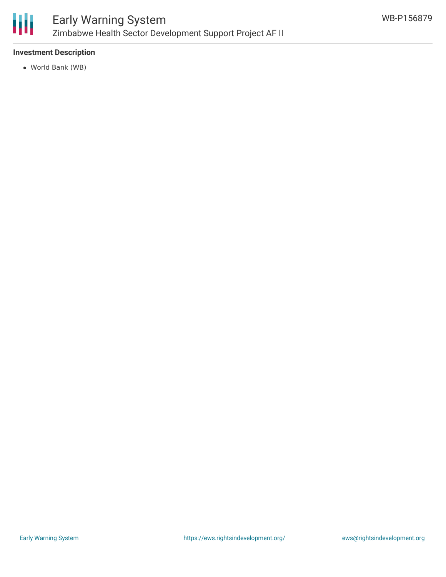

## **Investment Description**

World Bank (WB)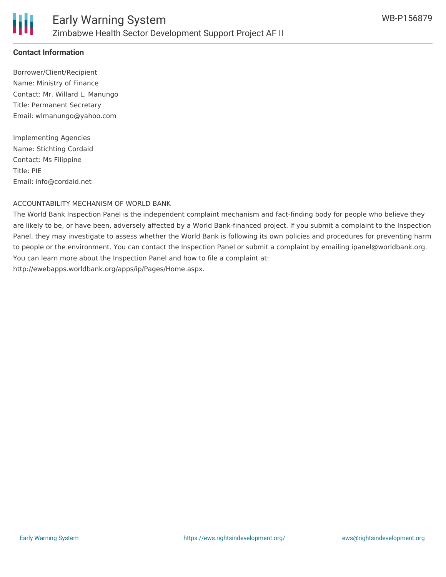

# **Contact Information**

Borrower/Client/Recipient Name: Ministry of Finance Contact: Mr. Willard L. Manungo Title: Permanent Secretary Email: wlmanungo@yahoo.com

Implementing Agencies Name: Stichting Cordaid Contact: Ms Filippine Title: PIE Email: info@cordaid.net

#### ACCOUNTABILITY MECHANISM OF WORLD BANK

The World Bank Inspection Panel is the independent complaint mechanism and fact-finding body for people who believe they are likely to be, or have been, adversely affected by a World Bank-financed project. If you submit a complaint to the Inspection Panel, they may investigate to assess whether the World Bank is following its own policies and procedures for preventing harm to people or the environment. You can contact the Inspection Panel or submit a complaint by emailing ipanel@worldbank.org. You can learn more about the Inspection Panel and how to file a complaint at: http://ewebapps.worldbank.org/apps/ip/Pages/Home.aspx.